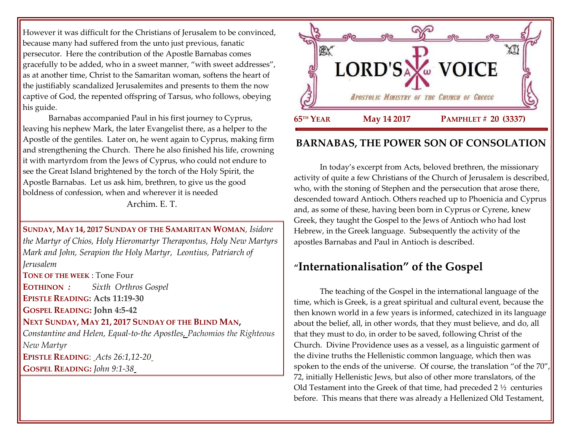However it was difficult for the Christians of Jerusalem to be convinced, because many had suffered from the unto just previous, fanatic persecutor. Here the contribution of the Apostle Barnabas comes gracefully to be added, who in a sweet manner, "with sweet addresses", as at another time, Christ to the Samaritan woman, softens the heart of the justifiably scandalized Jerusalemites and presents to them the now captive of God, the repented offspring of Tarsus, who follows, obeying his guide.

Barnabas accompanied Paul in his first journey to Cyprus, leaving his nephew Mark, the later Evangelist there, as a helper to the Apostle of the gentiles. Later on, he went again to Cyprus, making firm and strengthening the Church. There he also finished his life, crowning it with martyrdom from the Jews of Cyprus, who could not endure to see the Great Island brightened by the torch of the Holy Spirit, the Apostle Barnabas. Let us ask him, brethren, to give us the good boldness of confession, when and wherever it is needed Archim. E. T.

**SUNDAY, MAY 14, 2017 SUNDAY OF THE SAMARITAN WOMAN**, *Isidore the Martyr of Chios, Holy Hieromartyr Therapontus, Holy New Martyrs Mark and John, Serapion the Holy Martyr, Leontius, Patriarch of Jerusalem*  **TONE OF THE WEEK** : Tone Four **EOTHINON** *: Sixth Orthros Gospel* **EPISTLE READING: Acts 11:19-30 GOSPEL READING: John 4:5-42 NEXT SUNDAY, MAY 21, 2017 SUNDAY OF THE BLIND MAN,**  *Constantine and Helen, Equal-to-the Apostles, Pachomios the Righteous New Martyr* **EPISTLE READING**: *[Acts 26:1,12-20](https://www.goarch.org/chapel/lectionary?type=epistle&code=33&event=62&date=5/21/2017)* **GOSPEL READING:** *[John 9:1-38](https://www.goarch.org/chapel/lectionary?type=gospel&code=36&event=912&date=5/21/2017)*



## **BARNABAS, THE POWER SON OF CONSOLATION**

In today's excerpt from Acts, beloved brethren, the missionary activity of quite a few Christians of the Church of Jerusalem is described, who, with the stoning of Stephen and the persecution that arose there, descended toward Antioch. Others reached up to Phoenicia and Cyprus and, as some of these, having been born in Cyprus or Cyrene, knew Greek, they taught the Gospel to the Jews of Antioch who had lost Hebrew, in the Greek language. Subsequently the activity of the apostles Barnabas and Paul in Antioch is described.

# **"Internationalisation" of the Gospel**

The teaching of the Gospel in the international language of the time, which is Greek, is a great spiritual and cultural event, because the then known world in a few years is informed, catechized in its language about the belief, all, in other words, that they must believe, and do, all that they must to do, in order to be saved, following Christ of the Church. Divine Providence uses as a vessel, as a linguistic garment of the divine truths the Hellenistic common language, which then was spoken to the ends of the universe. Of course, the translation "of the 70", 72, initially Hellenistic Jews, but also of other more translators, of the Old Testament into the Greek of that time, had preceded 2 ½ centuries before. This means that there was already a Hellenized Old Testament,